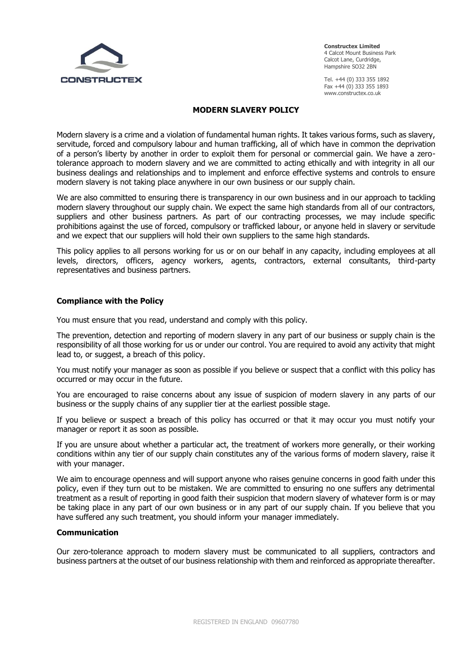

**Constructex Limited** 4 Calcot Mount Business Park Calcot Lane, Curdridge, Hampshire SO32 2BN

Tel. +44 (0) 333 355 1892 Fax +44 (0) 333 355 1893 www.constructex.co.uk

# **MODERN SLAVERY POLICY**

Modern slavery is a crime and a violation of fundamental human rights. It takes various forms, such as slavery, servitude, forced and compulsory labour and human trafficking, all of which have in common the deprivation of a person's liberty by another in order to exploit them for personal or commercial gain. We have a zerotolerance approach to modern slavery and we are committed to acting ethically and with integrity in all our business dealings and relationships and to implement and enforce effective systems and controls to ensure modern slavery is not taking place anywhere in our own business or our supply chain.

We are also committed to ensuring there is transparency in our own business and in our approach to tackling modern slavery throughout our supply chain. We expect the same high standards from all of our contractors, suppliers and other business partners. As part of our contracting processes, we may include specific prohibitions against the use of forced, compulsory or trafficked labour, or anyone held in slavery or servitude and we expect that our suppliers will hold their own suppliers to the same high standards.

This policy applies to all persons working for us or on our behalf in any capacity, including employees at all levels, directors, officers, agency workers, agents, contractors, external consultants, third-party representatives and business partners.

## **Compliance with the Policy**

You must ensure that you read, understand and comply with this policy.

The prevention, detection and reporting of modern slavery in any part of our business or supply chain is the responsibility of all those working for us or under our control. You are required to avoid any activity that might lead to, or suggest, a breach of this policy.

You must notify your manager as soon as possible if you believe or suspect that a conflict with this policy has occurred or may occur in the future.

You are encouraged to raise concerns about any issue of suspicion of modern slavery in any parts of our business or the supply chains of any supplier tier at the earliest possible stage.

If you believe or suspect a breach of this policy has occurred or that it may occur you must notify your manager or report it as soon as possible.

If you are unsure about whether a particular act, the treatment of workers more generally, or their working conditions within any tier of our supply chain constitutes any of the various forms of modern slavery, raise it with your manager.

We aim to encourage openness and will support anyone who raises genuine concerns in good faith under this policy, even if they turn out to be mistaken. We are committed to ensuring no one suffers any detrimental treatment as a result of reporting in good faith their suspicion that modern slavery of whatever form is or may be taking place in any part of our own business or in any part of our supply chain. If you believe that you have suffered any such treatment, you should inform your manager immediately.

### **Communication**

Our zero-tolerance approach to modern slavery must be communicated to all suppliers, contractors and business partners at the outset of our business relationship with them and reinforced as appropriate thereafter.